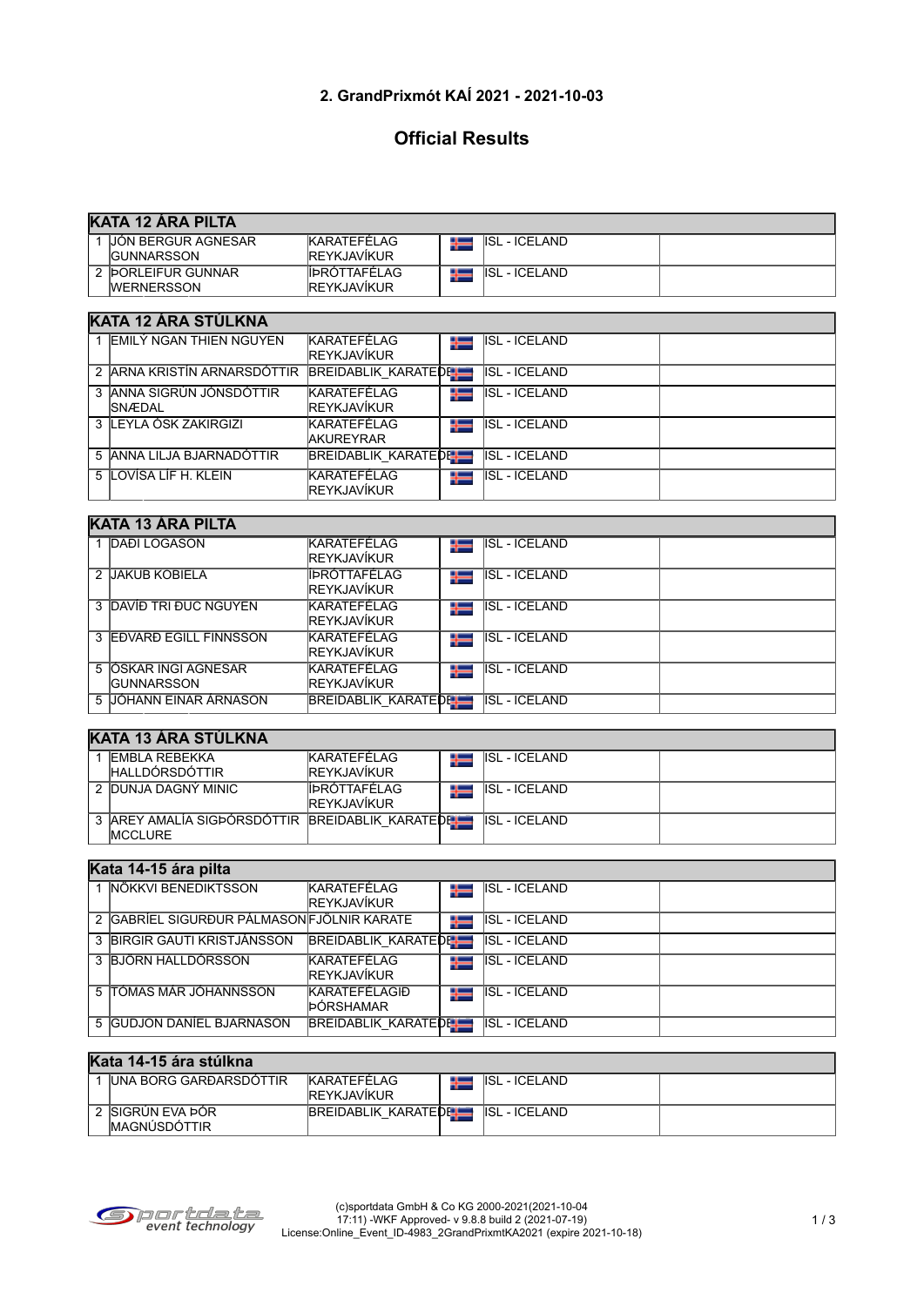# **2. GrandPrixmót KAÍ 2021 - 2021-10-03**

# **Official Results**

| <b>KATA 12 ARA PILTA</b>  |                      |  |                      |  |  |  |  |
|---------------------------|----------------------|--|----------------------|--|--|--|--|
| <b>JÓN BERGUR AGNESAR</b> | <b>KARATEFÉLAG</b>   |  | <b>ISL - ICELAND</b> |  |  |  |  |
| <b>IGUNNARSSON</b>        | <b>REYKJAVÍKUR</b>   |  |                      |  |  |  |  |
| 2 DORLEIFUR GUNNAR        | <b>ÍIÞRÓTTAFELAG</b> |  | ISL - ICELAND        |  |  |  |  |
| <b>WERNERSSON</b>         | <b>IREYKJAVÍKUR</b>  |  |                      |  |  |  |  |

## **KATA 12 ÁRA STÚLKNA**

| <b>IEMILÝ NGAN THIEN NGUYEN</b>                 | KARATEFÉLAG<br><b>IREYKJAVÍKUR</b>        | ╄═ | <b>ISL - ICELAND</b> |  |
|-------------------------------------------------|-------------------------------------------|----|----------------------|--|
| 2 ARNA KRISTÍN ARNARSDÓTTIR BREIDABLIK KARATEDE |                                           |    | <b>ISL - ICELAND</b> |  |
| 3 JANNA SIGRÚN JÓNSDÓTTIR<br><b>ISNÆDAL</b>     | <b>KARATEFÉLAG</b><br><b>IREYKJAVÍKUR</b> | ╬═ | <b>ISL - ICELAND</b> |  |
| 3 LEYLA ÓSK ZAKIRGIZI                           | KARATEFÉLAG<br><b>AKUREYRAR</b>           | ╄═ | <b>ISL - ICELAND</b> |  |
| 5 ANNA LILJA BJARNADÓTTIR                       | <b>BREIDABLIK KARATEDEL</b>               |    | <b>ISL - ICELAND</b> |  |
| 5 LOVÍSA LÍF H. KLEIN                           | <b>KARATEFÉLAG</b><br><b>REYKJAVÍKUR</b>  | ╬═ | <b>ISL - ICELAND</b> |  |

#### **KATA 13 ÁRA PILTA**

|   | <b>DAĐI LOGASON</b>                         | KARATEFÉLAG<br><b>REYKJAVÍKUR</b>           | ╬═ | <b>ISL - ICELAND</b>  |  |  |  |
|---|---------------------------------------------|---------------------------------------------|----|-----------------------|--|--|--|
| 2 | <b>JAKUB KOBIELA</b>                        | <b>ÍIÞRÓTTAFÉLAG</b><br><b>IREYKJAVÍKUR</b> | ╄═ | ISL - ICELAND         |  |  |  |
|   | 3 DAVIE TRI DUC NGUYEN                      | KARATEFÉLAG<br><b>IREYKJAVÍKUR</b>          | ╄═ | <b>IISL - ICELAND</b> |  |  |  |
|   | 3 EDVARD EGILL FINNSSON                     | KARATEFÉLAG<br><b>IREYKJAVÍKUR</b>          | ╬═ | IISL - ICELAND        |  |  |  |
|   | 5 JÓSKAR INGI AGNESAR<br><b>IGUNNARSSON</b> | KARATEFÉLAG<br><b>IREYKJAVÍKUR</b>          | ╄═ | <b>IISL - ICELAND</b> |  |  |  |
|   | 5 JJÓHANN EINAR ÁRNASON                     | <b>BREIDABLIK KARATEDEL</b>                 |    | ISL - ICELAND         |  |  |  |

## **KATA 13 ÁRA STÚLKNA**

| <b>IEMBLA REBEKKA</b><br><b>IHALLDÓRSDÓTTIR</b>                       | KARATEFELAG<br><b>IREYKJAVIKUR</b>  | ╄═ | ISL - ICELAND |  |
|-----------------------------------------------------------------------|-------------------------------------|----|---------------|--|
| 2 DUNJA DAGNÝ MINIC                                                   | ÍÞRÓTTAFÉLAG<br><b>IREYKJAVIKUR</b> | ╄═ | ISL - ICELAND |  |
| 3 AREY AMALÍA SIGÞÓRSDÓTTIR BREIDABLIK KARATEDELLE<br><b>IMCCLURE</b> |                                     |    | ISL - ICELAND |  |

#### **Kata 14-15 ára pilta**

| NÖKKVI BENEDIKTSSON                       | <b>KARATEFÉLAG</b><br><b>REYKJAVÍKUR</b> | ╄═ | <b>ISL - ICELAND</b>  |  |
|-------------------------------------------|------------------------------------------|----|-----------------------|--|
| 2 GABRÍEL SIGURÐUR PÁLMASONFJÖLNIR KARATE |                                          | ╄═ | <b>ISL - ICELAND</b>  |  |
| 3 BIRGIR GAUTI KRISTJÁNSSON               | BREIDABLIK_KARATEDE                      |    | IISL - ICELAND        |  |
| 3 BJÖRN HALLDÓRSSON                       | <b>KARATEFÉLAG</b><br><b>REYKJAVÍKUR</b> | ╬═ | <b>IISL - ICELAND</b> |  |
| 5 TÓMAS MÁR JÓHANNSSON                    | KARATEFÉLAGIÐ<br>ÞÓRSHAMAR               | ╄═ | <b>ISL - ICELAND</b>  |  |
| 5 GUDJON DANÍEL BJARNASON                 | <b>BREIDABLIK KARATEDEL</b>              |    | <b>IISL - ICELAND</b> |  |

#### **Kata 14-15 ára stúlkna**

| <b>IUNA BORG GARÐARSDÓTTIR</b> | <b>KARATEFELAG</b>   | <b>ISL - ICELAND</b> |  |
|--------------------------------|----------------------|----------------------|--|
|                                | <b>IREYKJAVIKUR</b>  |                      |  |
| : ÍSIGRÚN EVA ÞÓR              | BREIDABLIK KARATEDEL | <b>ISL - ICELAND</b> |  |
| <b>IMAGNÚSDÓTTIR</b>           |                      |                      |  |



٦

٦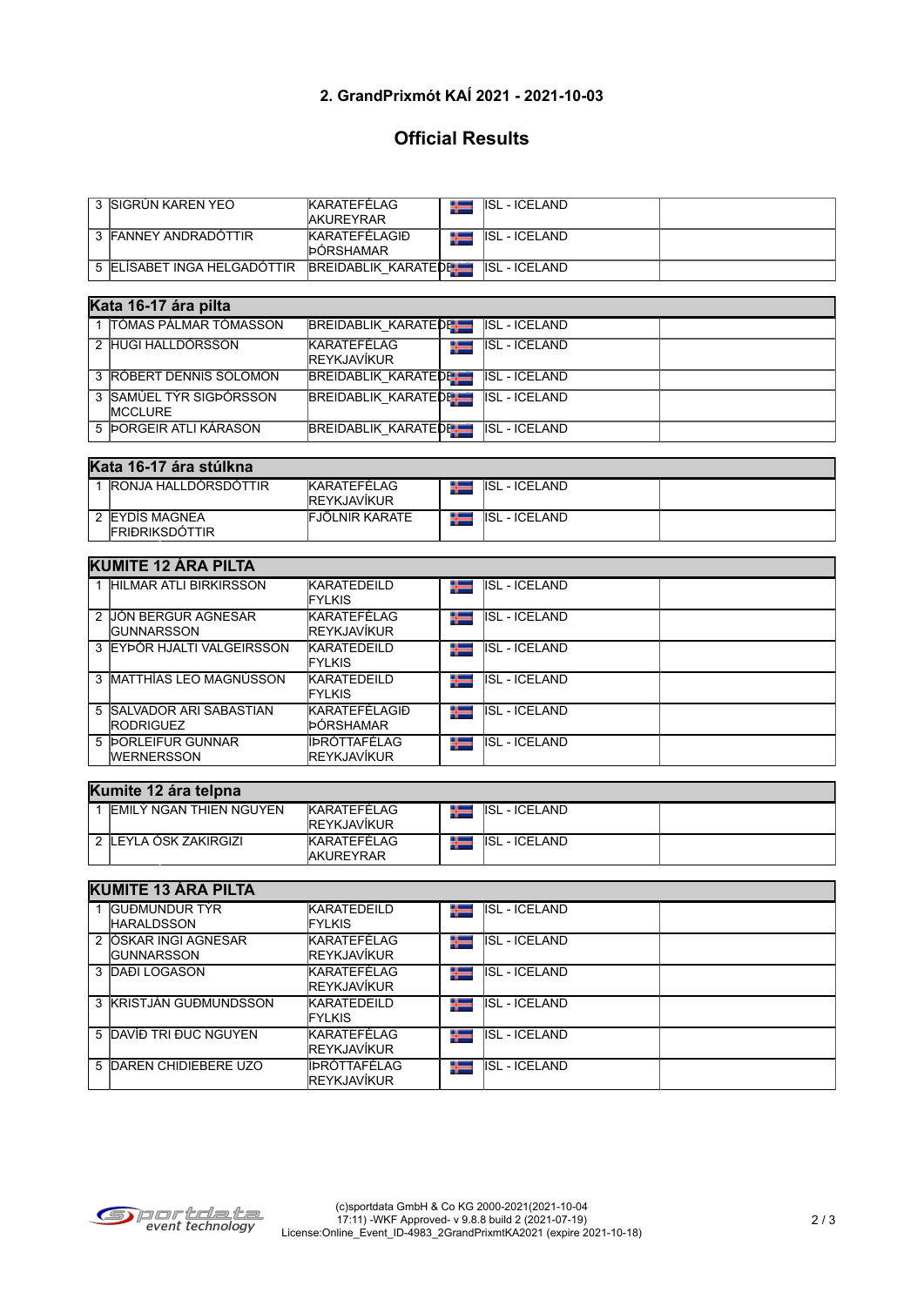## **2. GrandPrixmót KAÍ 2021 - 2021-10-03**

## **Official Results**

| 3 ISIGRÚN KAREN YEO         | <b>KARATEFÉLAG</b><br><b>AKUREYRAR</b> | ISL - ICELAND        |  |
|-----------------------------|----------------------------------------|----------------------|--|
| 3 FANNEY ANDRADOTTIR        | KARATEFÉLAGIÐ<br><b>DORSHAMAR</b>      | <b>ISL - ICELAND</b> |  |
| 5 ELISABET INGA HELGADOTTIR | BREIDABLIK KARATEDEL                   | ISL - ICELAND        |  |

|  | Kata 16-17 ára pilta                      |                                   |     |                      |  |
|--|-------------------------------------------|-----------------------------------|-----|----------------------|--|
|  | 1 ITÓMAS PÁLMAR TÓMASSON                  | <b>BREIDABLIK KARATEDE HILL</b>   |     | <b>ISL - ICELAND</b> |  |
|  | 2 HUGI HALLDÓRSSON                        | KARATEFÉLAG<br><b>REYKJAVÍKUR</b> | 455 | ISL - ICELAND        |  |
|  | 3 RÓBERT DENNIS SOLOMON                   | <b>BREIDABLIK_KARATEDE</b>        |     | ISL - ICELAND        |  |
|  | 3 SAMÚEL TÝR SIGÞÓRSSON<br><b>MCCLURE</b> | <b>BREIDABLIK KARATEDEL</b>       |     | <b>ISL - ICELAND</b> |  |

5 ÞORGEIR ATLI KÁRASON BREIDABLIK KARATEDEILD ISL - ICELAND

#### **Kata 16-17 ára stúlkna**

| <b>IRONJA HALLDORSDOTTIR</b>             | <b>KARATEFÉLAG</b><br><b>IREYKJAVÍKUR</b> |   | <b>ISL - ICELAND</b>        |  |  |  |
|------------------------------------------|-------------------------------------------|---|-----------------------------|--|--|--|
| 2 EYDIS MAGNEA<br><b>IFRIÐRIKSDÓTTIR</b> | <b>FJÖLNIR KARATE</b>                     | 모 | <b>I</b> ISL<br>. - ICELAND |  |  |  |

### **KUMITE 12 ÁRA PILTA**

| 1 HILMAR ATLI BIRKIRSSON                     | <b>KARATEDEILD</b><br><b>FYLKIS</b>  | 455 | <b>ISL - ICELAND</b>  |  |  |  |
|----------------------------------------------|--------------------------------------|-----|-----------------------|--|--|--|
| 2 JIÓN BERGUR AGNESAR<br><b>IGUNNARSSON</b>  | KARATEFÉLAG<br><b>IREYKJAVÍKUR</b>   | ╄═  | IISL - ICELAND        |  |  |  |
| 3 EYÞÓR HJALTI VALGEIRSSON                   | KARATEDEILD<br><b>FYLKIS</b>         | ╄═  | IISL - ICELAND        |  |  |  |
| 3 IMATTHÍAS LEO MAGNÚSSON                    | KARATEDEILD<br><b>FYLKIS</b>         | ╄═  | IISL - ICELAND        |  |  |  |
| 5 SALVADOR ARI SABASTIAN<br><b>RODRIGUEZ</b> | <b>KARATEFÉLAGIÐ</b><br>ÞÓRSHAMAR    | ╬═  | <b>IISL - ICELAND</b> |  |  |  |
| 5 DORLEIFUR GUNNAR<br><b>WERNERSSON</b>      | ÍÍÞRÓTTAFÉLAG<br><b>IREYKJAVÍKUR</b> | ╬═  | IISL - ICELAND        |  |  |  |

#### **Kumite 12 ára telpna**

| $\mathbf{u}$ . The state is the set of $\mathbf{u}$ |                                           |  |                      |  |  |  |
|-----------------------------------------------------|-------------------------------------------|--|----------------------|--|--|--|
| IEMILÝ NGAN THIEN NGUYEN                            | <b>KARATEFELAG</b><br><b>IREYKJAVIKUR</b> |  | <b>ISL - ICELAND</b> |  |  |  |
| : ILEYLA OSK ZAKIRGIZI                              | <b>IKARATEFÉLAG</b><br><b>IAKUREYRAR</b>  |  | <b>ISL - ICELAND</b> |  |  |  |

#### **KUMITE 13 ÁRA PILTA** 1 GUÐMUNDUR TÝR **KARATEDEILD** ISL - ICELAND ╄ **HARALDSSON** FYLKIS 2 ÓSKAR INGI AGNESAR KARATEFÉLAG ╬═ ISL - ICELAND **GUNNARSSON** REYKJAVÍKUR<br>KARATEFÉLAG ╄ 3 DAÐI LOGASON ISL - ICELAND REYKJAVÍKUR<br>KARATEDEILD 3 KRISTJÁN GUÐMUNDSSON **ISL - ICELAND** Ť FYLKIS<br>KARATEFÉLAG 5 DAVÍÐ TRI ÐUC NGUYEN ₩ ISL - ICELAND REYKJAVÍKUR<br>ÍÞRÓTTAFÉLAG 5 DAREN CHIDIEBERE UZO **ISL - ICELAND** Ť REYKJAVÍKUR